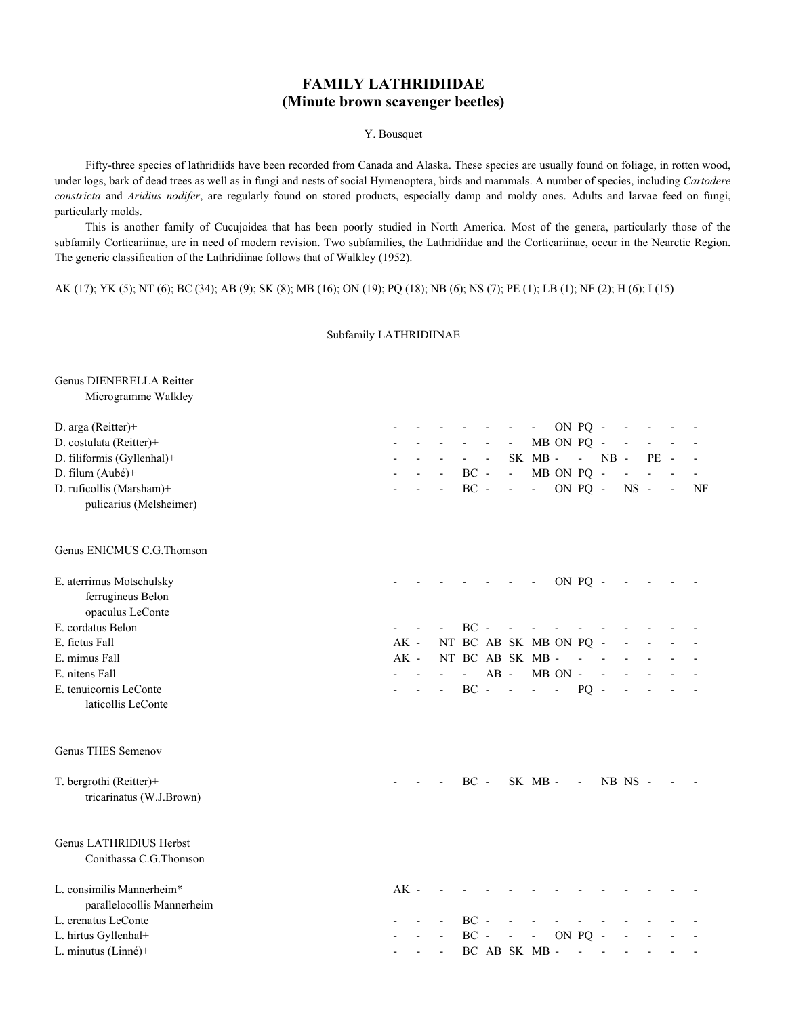## **FAMILY LATHRIDIIDAE (Minute brown scavenger beetles)**

Y. Bousquet

 Fifty-three species of lathridiids have been recorded from Canada and Alaska. These species are usually found on foliage, in rotten wood, under logs, bark of dead trees as well as in fungi and nests of social Hymenoptera, birds and mammals. A number of species, including *Cartodere constricta* and *Aridius nodifer*, are regularly found on stored products, especially damp and moldy ones. Adults and larvae feed on fungi, particularly molds.

 This is another family of Cucujoidea that has been poorly studied in North America. Most of the genera, particularly those of the subfamily Corticariinae, are in need of modern revision. Two subfamilies, the Lathridiidae and the Corticariinae, occur in the Nearctic Region. The generic classification of the Lathridiinae follows that of Walkley (1952).

AK (17); YK (5); NT (6); BC (34); AB (9); SK (8); MB (16); ON (19); PQ (18); NB (6); NS (7); PE (1); LB (1); NF (2); H (6); I (15)

Subfamily LATHRIDIINAE

| Genus DIENERELLA Reitter   |        |                          |                          |                          |                     |                          |                          |                          |                          |         |    |                          |    |
|----------------------------|--------|--------------------------|--------------------------|--------------------------|---------------------|--------------------------|--------------------------|--------------------------|--------------------------|---------|----|--------------------------|----|
| Microgramme Walkley        |        |                          |                          |                          |                     |                          |                          |                          |                          |         |    |                          |    |
| D. arga (Reitter)+         |        |                          |                          |                          |                     | $\overline{\phantom{a}}$ |                          | ON PQ -                  |                          |         |    |                          |    |
| D. costulata (Reitter)+    |        |                          |                          |                          | $\blacksquare$      |                          |                          | MB ON PQ -               |                          |         |    |                          |    |
| D. filiformis (Gyllenhal)+ |        |                          |                          | $\overline{\phantom{a}}$ |                     | SK MB-                   |                          | $\blacksquare$           | $NB -$                   |         | PE |                          |    |
| D. filum (Aubé)+           |        |                          | $\rm BC$ -               |                          | $\omega_{\rm{max}}$ |                          |                          | MB ON PQ -               |                          |         |    |                          |    |
| D. ruficollis (Marsham)+   |        |                          | $BC -$                   |                          | $\Box$              | $\omega_{\rm{max}}$      |                          | ON PQ -                  |                          | $NS -$  |    | $\overline{\phantom{a}}$ | NF |
| pulicarius (Melsheimer)    |        |                          |                          |                          |                     |                          |                          |                          |                          |         |    |                          |    |
| Genus ENICMUS C.G. Thomson |        |                          |                          |                          |                     |                          |                          |                          |                          |         |    |                          |    |
| E. aterrimus Motschulsky   |        |                          |                          |                          |                     |                          |                          | ON PQ -                  |                          |         |    |                          |    |
| ferrugineus Belon          |        |                          |                          |                          |                     |                          |                          |                          |                          |         |    |                          |    |
| opaculus LeConte           |        |                          |                          |                          |                     |                          |                          |                          |                          |         |    |                          |    |
| E. cordatus Belon          |        |                          | <b>BC</b>                |                          |                     |                          |                          |                          |                          |         |    |                          |    |
| E. fictus Fall             | $AK -$ |                          |                          |                          |                     | NT BC AB SK MB ON PQ -   |                          |                          |                          |         |    |                          |    |
| E. mimus Fall              | $AK -$ |                          |                          |                          |                     | NT BC AB SK MB -         |                          |                          |                          |         |    |                          |    |
| E. nitens Fall             |        |                          | $\overline{\phantom{0}}$ | $AB -$                   |                     |                          | MB ON -                  |                          |                          |         |    |                          |    |
| E. tenuicornis LeConte     |        | $\overline{\phantom{a}}$ | $\rm BC$ -               |                          | $\sim$ $-$          | $\omega_{\rm{max}}$      | $\overline{\phantom{a}}$ | PQ                       | $\overline{\phantom{a}}$ |         |    |                          |    |
| laticollis LeConte         |        |                          |                          |                          |                     |                          |                          |                          |                          |         |    |                          |    |
| <b>Genus THES Semenov</b>  |        |                          |                          |                          |                     |                          |                          |                          |                          |         |    |                          |    |
| T. bergrothi (Reitter)+    |        |                          | $BC -$                   |                          |                     | SK MB-                   |                          | $\overline{\phantom{a}}$ |                          | NB NS - |    |                          |    |
| tricarinatus (W.J.Brown)   |        |                          |                          |                          |                     |                          |                          |                          |                          |         |    |                          |    |
| Genus LATHRIDIUS Herbst    |        |                          |                          |                          |                     |                          |                          |                          |                          |         |    |                          |    |
| Conithassa C.G.Thomson     |        |                          |                          |                          |                     |                          |                          |                          |                          |         |    |                          |    |
| L. consimilis Mannerheim*  | $AK -$ |                          |                          |                          |                     |                          |                          |                          |                          |         |    |                          |    |
| parallelocollis Mannerheim |        |                          |                          |                          |                     |                          |                          |                          |                          |         |    |                          |    |
| L. crenatus LeConte        |        |                          | $BC -$                   |                          |                     |                          |                          |                          |                          |         |    |                          |    |
| L. hirtus Gyllenhal+       |        |                          | $BC -$                   |                          | $\frac{1}{2}$       | $\overline{\phantom{a}}$ |                          | ON PQ -                  |                          |         |    |                          |    |
| L. minutus (Linné)+        |        |                          |                          |                          |                     | BC AB SK MB -            |                          |                          |                          |         |    |                          |    |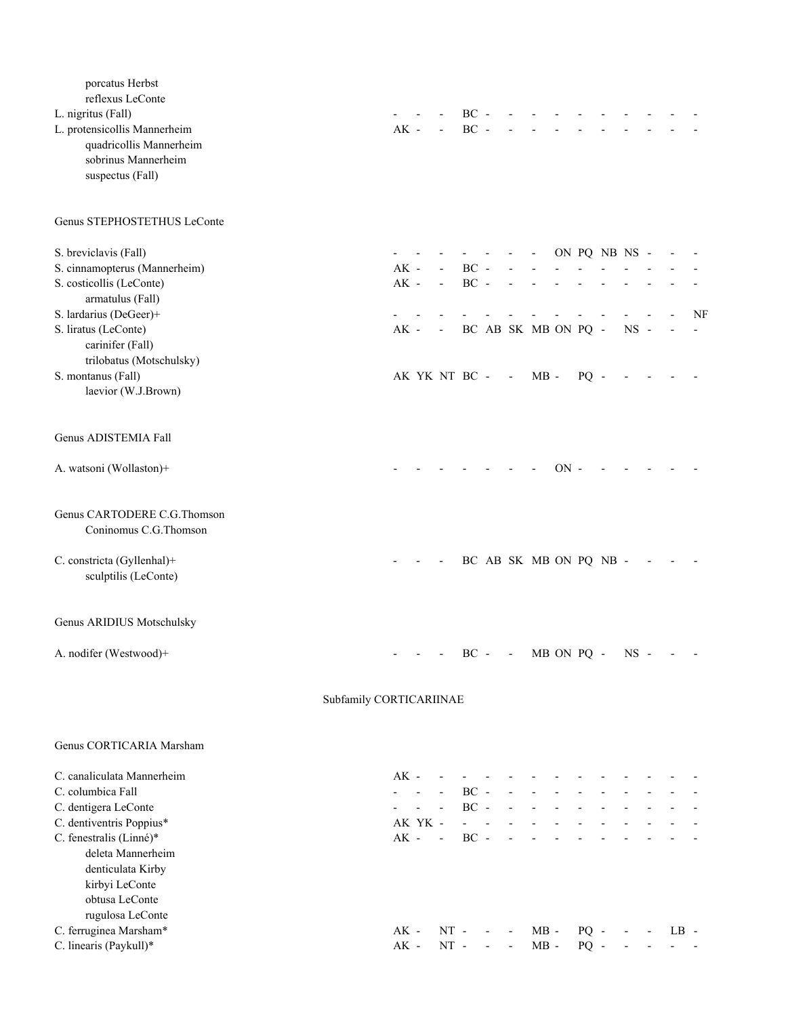| porcatus Herbst<br>reflexus LeConte<br>L. nigritus (Fall)<br>L. protensicollis Mannerheim<br>quadricollis Mannerheim<br>sobrinus Mannerheim<br>suspectus (Fall) |                         | $AK -$ |                                           | $\Delta \sim 10^{-11}$      | $BC -$     | $BC - -$                                                                    |                        | $\sim 100$          |            |            |           |        |              |    |
|-----------------------------------------------------------------------------------------------------------------------------------------------------------------|-------------------------|--------|-------------------------------------------|-----------------------------|------------|-----------------------------------------------------------------------------|------------------------|---------------------|------------|------------|-----------|--------|--------------|----|
| Genus STEPHOSTETHUS LeConte                                                                                                                                     |                         |        |                                           |                             |            |                                                                             |                        |                     |            |            |           |        |              |    |
| S. breviclavis (Fall)                                                                                                                                           |                         |        |                                           | - - - - - - - ON PQ NB NS - |            |                                                                             |                        |                     |            |            |           |        |              |    |
| S. cinnamopterus (Mannerheim)                                                                                                                                   |                         |        |                                           | $AK - - BC - - -$           |            |                                                                             |                        | $\Delta \sim 10^4$  | $\sim$     |            |           |        |              |    |
| S. costicollis (LeConte)<br>armatulus (Fall)                                                                                                                    |                         |        | $AK -$                                    | $\omega_{\rm{max}}$         | $\rm BC$ - |                                                                             |                        |                     |            |            |           |        |              |    |
| S. lardarius (DeGeer)+<br>S. liratus (LeConte)                                                                                                                  |                         | $AK -$ |                                           |                             |            |                                                                             | - BC AB SK MB ON PQ -  |                     |            |            | $NS -$    |        |              | NF |
| carinifer (Fall)                                                                                                                                                |                         |        |                                           |                             |            |                                                                             |                        |                     |            |            |           |        |              |    |
| trilobatus (Motschulsky)                                                                                                                                        |                         |        |                                           |                             |            |                                                                             |                        |                     |            |            |           |        |              |    |
| S. montanus (Fall)<br>laevior (W.J.Brown)                                                                                                                       |                         |        |                                           | AK YK NT BC - - MB -        |            |                                                                             |                        |                     | $PQ -$     |            |           |        |              |    |
| Genus ADISTEMIA Fall                                                                                                                                            |                         |        |                                           |                             |            |                                                                             |                        |                     |            |            |           |        |              |    |
| A. watsoni (Wollaston)+                                                                                                                                         |                         |        |                                           |                             |            |                                                                             |                        | ON -                |            |            |           |        |              |    |
| Genus CARTODERE C.G.Thomson<br>Coninomus C.G.Thomson                                                                                                            |                         |        |                                           |                             |            |                                                                             |                        |                     |            |            |           |        |              |    |
| C. constricta (Gyllenhal)+<br>sculptilis (LeConte)                                                                                                              |                         |        |                                           |                             |            |                                                                             | BC AB SK MB ON PQ NB - |                     |            |            |           |        |              |    |
| Genus ARIDIUS Motschulsky                                                                                                                                       |                         |        |                                           |                             |            |                                                                             |                        |                     |            |            |           |        |              |    |
| A. nodifer (Westwood)+                                                                                                                                          |                         |        |                                           |                             |            | $BC - -$                                                                    |                        |                     | MB ON PQ - |            | <b>NS</b> |        |              |    |
|                                                                                                                                                                 | Subfamily CORTICARIINAE |        |                                           |                             |            |                                                                             |                        |                     |            |            |           |        |              |    |
| Genus CORTICARIA Marsham                                                                                                                                        |                         |        |                                           |                             |            |                                                                             |                        |                     |            |            |           |        |              |    |
| C. canaliculata Mannerheim                                                                                                                                      |                         | $AK -$ |                                           |                             |            |                                                                             |                        |                     |            |            |           |        |              |    |
| C. columbica Fall                                                                                                                                               |                         |        | $\omega_{\rm{max}}$ , $\omega_{\rm{max}}$ |                             |            |                                                                             | - $BC - - - - - - - -$ |                     |            |            |           |        |              |    |
| C. dentigera LeConte                                                                                                                                            |                         |        |                                           | $\omega_{\rm{eff}}=2.0$     |            |                                                                             | $BC - - - - - - - -$   |                     |            |            |           |        |              |    |
| C. dentiventris Poppius*                                                                                                                                        |                         |        |                                           | AK YK -                     |            | $\omega_{\rm{eff}}$ , $\omega_{\rm{eff}}$ , $\omega_{\rm{eff}}$<br>$BC - -$ | $\omega_{\rm{max}}$    | $\omega_{\rm{max}}$ |            |            |           |        |              |    |
| C. fenestralis (Linné)*<br>deleta Mannerheim                                                                                                                    |                         |        |                                           | $AK - -$                    |            |                                                                             | $\blacksquare$         | $\sim$              |            |            |           |        |              |    |
| denticulata Kirby                                                                                                                                               |                         |        |                                           |                             |            |                                                                             |                        |                     |            |            |           |        |              |    |
| kirbyi LeConte                                                                                                                                                  |                         |        |                                           |                             |            |                                                                             |                        |                     |            |            |           |        |              |    |
| obtusa LeConte                                                                                                                                                  |                         |        |                                           |                             |            |                                                                             |                        |                     |            |            |           |        |              |    |
| rugulosa LeConte                                                                                                                                                |                         |        |                                           |                             |            |                                                                             |                        |                     |            |            |           |        |              |    |
| C. ferruginea Marsham*                                                                                                                                          |                         | $AK -$ |                                           |                             |            | $NT - - -$                                                                  | $MB -$                 |                     |            | $PQ - -$   |           | $\sim$ | $LB -$       |    |
| C. linearis (Paykull)*                                                                                                                                          |                         | $AK -$ |                                           |                             |            | $NT - - -$                                                                  | $MB -$                 |                     |            | $PQ - - -$ |           |        | $\sim$ $  -$ |    |